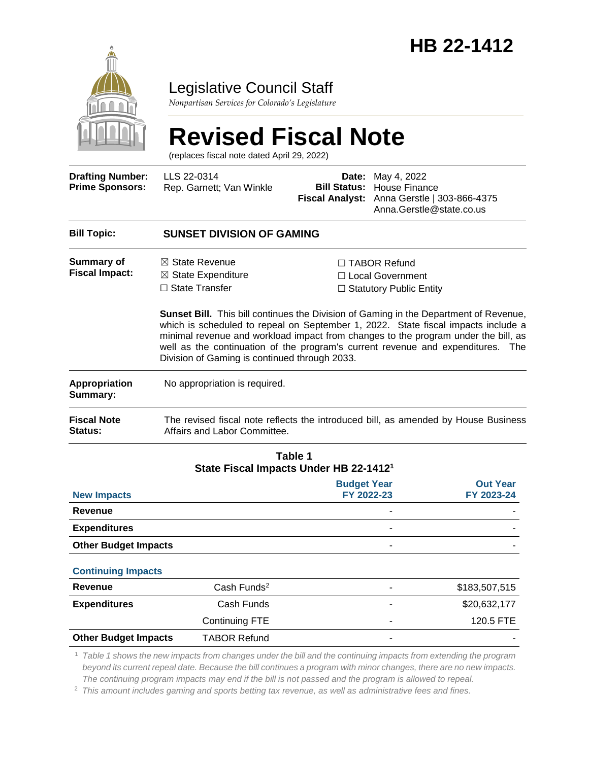

### Legislative Council Staff

*Nonpartisan Services for Colorado's Legislature*

# **Revised Fiscal Note**

(replaces fiscal note dated April 29, 2022)

| <b>Drafting Number:</b><br><b>Prime Sponsors:</b> | LLS 22-0314<br>Rep. Garnett; Van Winkle                                                                                                                                                                                                                                                                                                                                                                 |                                                                             | Date: May 4, 2022<br><b>Bill Status: House Finance</b> | Fiscal Analyst: Anna Gerstle   303-866-4375<br>Anna.Gerstle@state.co.us |
|---------------------------------------------------|---------------------------------------------------------------------------------------------------------------------------------------------------------------------------------------------------------------------------------------------------------------------------------------------------------------------------------------------------------------------------------------------------------|-----------------------------------------------------------------------------|--------------------------------------------------------|-------------------------------------------------------------------------|
| <b>Bill Topic:</b>                                | <b>SUNSET DIVISION OF GAMING</b>                                                                                                                                                                                                                                                                                                                                                                        |                                                                             |                                                        |                                                                         |
| Summary of<br><b>Fiscal Impact:</b>               | $\boxtimes$ State Revenue<br>$\boxtimes$ State Expenditure<br>□ State Transfer                                                                                                                                                                                                                                                                                                                          | $\Box$ TABOR Refund<br>□ Local Government<br>$\Box$ Statutory Public Entity |                                                        |                                                                         |
|                                                   | <b>Sunset Bill.</b> This bill continues the Division of Gaming in the Department of Revenue,<br>which is scheduled to repeal on September 1, 2022. State fiscal impacts include a<br>minimal revenue and workload impact from changes to the program under the bill, as<br>well as the continuation of the program's current revenue and expenditures.<br>Division of Gaming is continued through 2033. |                                                                             |                                                        | The                                                                     |
| Appropriation<br>Summary:                         | No appropriation is required.                                                                                                                                                                                                                                                                                                                                                                           |                                                                             |                                                        |                                                                         |
| <b>Fiscal Note</b><br>Status:                     | The revised fiscal note reflects the introduced bill, as amended by House Business<br>Affairs and Labor Committee.                                                                                                                                                                                                                                                                                      |                                                                             |                                                        |                                                                         |
|                                                   | State Fiscal Impacts Under HB 22-1412 <sup>1</sup>                                                                                                                                                                                                                                                                                                                                                      | Table 1                                                                     |                                                        |                                                                         |
| <b>New Impacts</b>                                |                                                                                                                                                                                                                                                                                                                                                                                                         | <b>Budget Year</b><br>FY 2022-23                                            |                                                        | <b>Out Year</b><br>FY 2023-24                                           |
| Revenue                                           |                                                                                                                                                                                                                                                                                                                                                                                                         |                                                                             |                                                        |                                                                         |
| <b>Expenditures</b>                               |                                                                                                                                                                                                                                                                                                                                                                                                         |                                                                             |                                                        |                                                                         |
| <b>Other Budget Impacts</b>                       |                                                                                                                                                                                                                                                                                                                                                                                                         |                                                                             |                                                        |                                                                         |
| <b>Continuing Impacts</b>                         |                                                                                                                                                                                                                                                                                                                                                                                                         |                                                                             |                                                        |                                                                         |
| <b>Revenue</b>                                    | Cash Funds <sup>2</sup>                                                                                                                                                                                                                                                                                                                                                                                 |                                                                             |                                                        | \$183,507,515                                                           |
| <b>Expenditures</b>                               | Cash Funds                                                                                                                                                                                                                                                                                                                                                                                              |                                                                             |                                                        | \$20,632,177                                                            |
|                                                   | <b>Continuing FTE</b>                                                                                                                                                                                                                                                                                                                                                                                   |                                                                             |                                                        | 120.5 FTE                                                               |
| <b>Other Budget Impacts</b>                       | <b>TABOR Refund</b>                                                                                                                                                                                                                                                                                                                                                                                     |                                                                             |                                                        |                                                                         |
|                                                   | <sup>1</sup> Table 1 shows the new impacts from changes under the bill and the continuing impacts from extending the program                                                                                                                                                                                                                                                                            |                                                                             |                                                        |                                                                         |

*beyond its current repeal date. Because the bill continues a program with minor changes, there are no new impacts. The continuing program impacts may end if the bill is not passed and the program is allowed to repeal.*

<sup>2</sup> *This amount includes gaming and sports betting tax revenue, as well as administrative fees and fines.*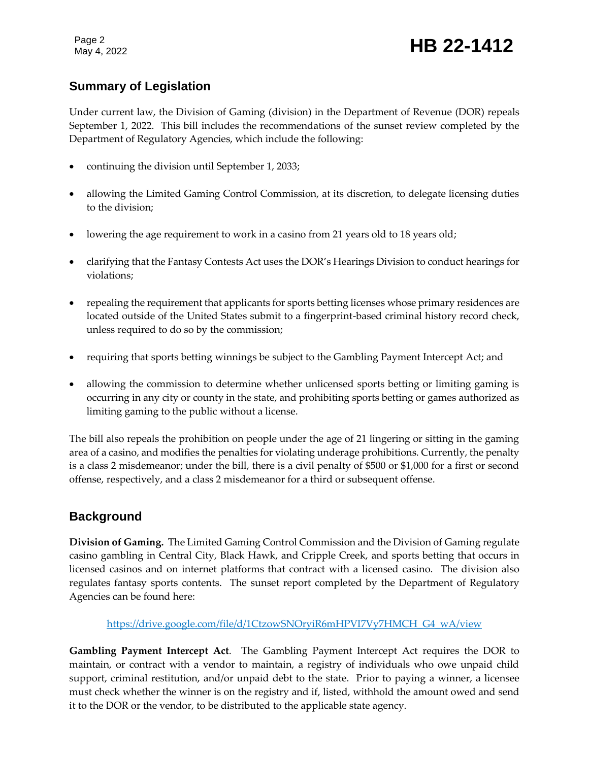#### **Summary of Legislation**

Under current law, the Division of Gaming (division) in the Department of Revenue (DOR) repeals September 1, 2022. This bill includes the recommendations of the sunset review completed by the Department of Regulatory Agencies, which include the following:

- continuing the division until September 1, 2033;
- allowing the Limited Gaming Control Commission, at its discretion, to delegate licensing duties to the division;
- lowering the age requirement to work in a casino from 21 years old to 18 years old;
- clarifying that the Fantasy Contests Act uses the DOR's Hearings Division to conduct hearings for violations;
- repealing the requirement that applicants for sports betting licenses whose primary residences are located outside of the United States submit to a fingerprint-based criminal history record check, unless required to do so by the commission;
- requiring that sports betting winnings be subject to the Gambling Payment Intercept Act; and
- allowing the commission to determine whether unlicensed sports betting or limiting gaming is occurring in any city or county in the state, and prohibiting sports betting or games authorized as limiting gaming to the public without a license.

The bill also repeals the prohibition on people under the age of 21 lingering or sitting in the gaming area of a casino, and modifies the penalties for violating underage prohibitions. Currently, the penalty is a class 2 misdemeanor; under the bill, there is a civil penalty of \$500 or \$1,000 for a first or second offense, respectively, and a class 2 misdemeanor for a third or subsequent offense.

#### **Background**

**Division of Gaming.** The Limited Gaming Control Commission and the Division of Gaming regulate casino gambling in Central City, Black Hawk, and Cripple Creek, and sports betting that occurs in licensed casinos and on internet platforms that contract with a licensed casino. The division also regulates fantasy sports contents. The sunset report completed by the Department of Regulatory Agencies can be found here:

#### [https://drive.google.com/file/d/1CtzowSNOryiR6mHPVI7Vy7HMCH\\_G4\\_wA/view](https://drive.google.com/file/d/1CtzowSNOryiR6mHPVI7Vy7HMCH_G4_wA/view)

**Gambling Payment Intercept Act**. The Gambling Payment Intercept Act requires the DOR to maintain, or contract with a vendor to maintain, a registry of individuals who owe unpaid child support, criminal restitution, and/or unpaid debt to the state. Prior to paying a winner, a licensee must check whether the winner is on the registry and if, listed, withhold the amount owed and send it to the DOR or the vendor, to be distributed to the applicable state agency.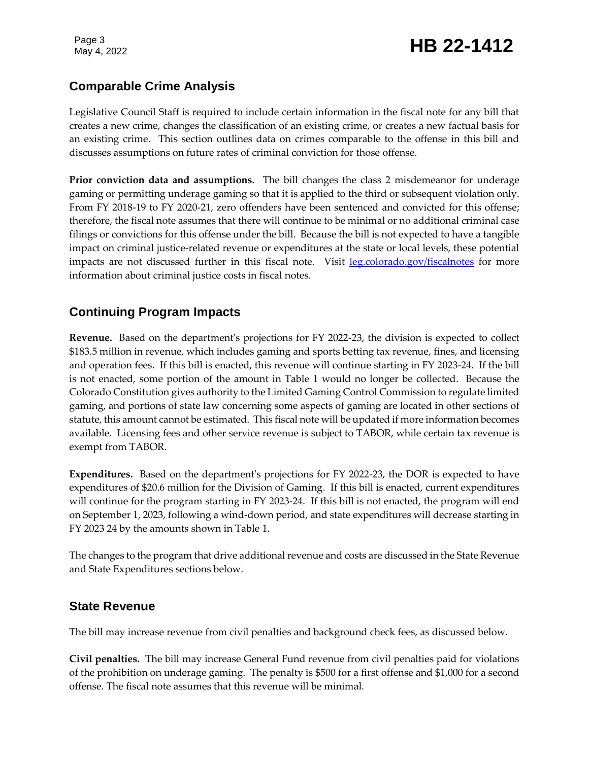### May 4, 2022 **HB 22-1412**

#### **Comparable Crime Analysis**

Legislative Council Staff is required to include certain information in the fiscal note for any bill that creates a new crime, changes the classification of an existing crime, or creates a new factual basis for an existing crime. This section outlines data on crimes comparable to the offense in this bill and discusses assumptions on future rates of criminal conviction for those offense.

**Prior conviction data and assumptions.** The bill changes the class 2 misdemeanor for underage gaming or permitting underage gaming so that it is applied to the third or subsequent violation only. From FY 2018-19 to FY 2020-21, zero offenders have been sentenced and convicted for this offense; therefore, the fiscal note assumes that there will continue to be minimal or no additional criminal case filings or convictions for this offense under the bill. Because the bill is not expected to have a tangible impact on criminal justice-related revenue or expenditures at the state or local levels, these potential impacts are not discussed further in this fiscal note. Visit <u>leg.colorado.gov/fiscalnotes</u> for more information about criminal justice costs in fiscal notes.

#### **Continuing Program Impacts**

**Revenue.** Based on the department's projections for FY 2022-23, the division is expected to collect \$183.5 million in revenue, which includes gaming and sports betting tax revenue, fines, and licensing and operation fees. If this bill is enacted, this revenue will continue starting in FY 2023-24. If the bill is not enacted, some portion of the amount in Table 1 would no longer be collected. Because the Colorado Constitution gives authority to the Limited Gaming Control Commission to regulate limited gaming, and portions of state law concerning some aspects of gaming are located in other sections of statute, this amount cannot be estimated. This fiscal note will be updated if more information becomes available. Licensing fees and other service revenue is subject to TABOR, while certain tax revenue is exempt from TABOR.

**Expenditures.** Based on the department's projections for FY 2022-23, the DOR is expected to have expenditures of \$20.6 million for the Division of Gaming. If this bill is enacted, current expenditures will continue for the program starting in FY 2023-24. If this bill is not enacted, the program will end on September 1, 2023, following a wind-down period, and state expenditures will decrease starting in FY 2023 24 by the amounts shown in Table 1.

The changes to the program that drive additional revenue and costs are discussed in the State Revenue and State Expenditures sections below.

#### **State Revenue**

The bill may increase revenue from civil penalties and background check fees, as discussed below.

**Civil penalties.** The bill may increase General Fund revenue from civil penalties paid for violations of the prohibition on underage gaming. The penalty is \$500 for a first offense and \$1,000 for a second offense. The fiscal note assumes that this revenue will be minimal.